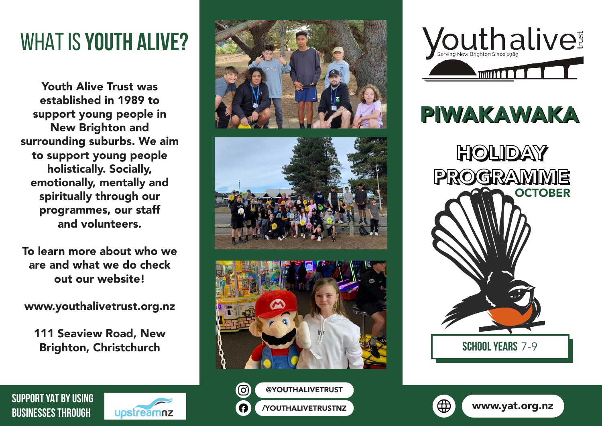## WHAT IS **YOUTH ALIVE?**

Youth Alive Trust was established in 1989 to support young people in New Brighton and surrounding suburbs. We aim to support young people holistically. Socially, emotionally, mentally and spiritually through our programmes, our staff and volunteers.

To learn more about who we are and what we do check out our website!

www.youthalivetrust.org.nz

111 Seaview Road, New Brighton, Christchurch

**SUPPORT YAT BY USING BUSINESSES THROUGH**











**School years** 7-9



∰